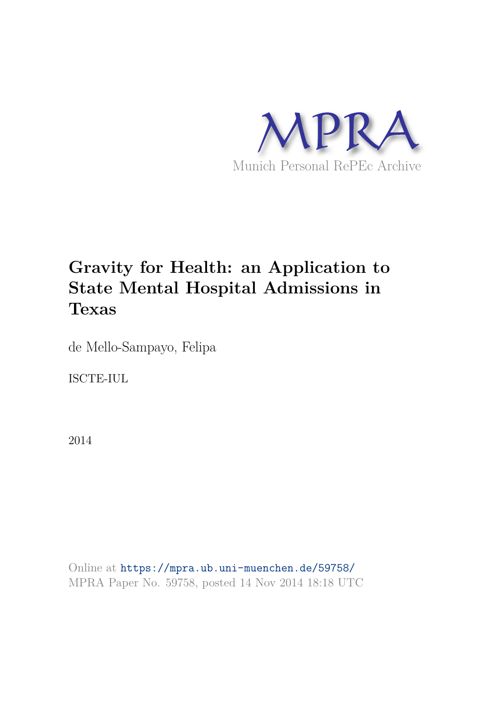

# **Gravity for Health: an Application to State Mental Hospital Admissions in Texas**

de Mello-Sampayo, Felipa

ISCTE-IUL

2014

Online at https://mpra.ub.uni-muenchen.de/59758/ MPRA Paper No. 59758, posted 14 Nov 2014 18:18 UTC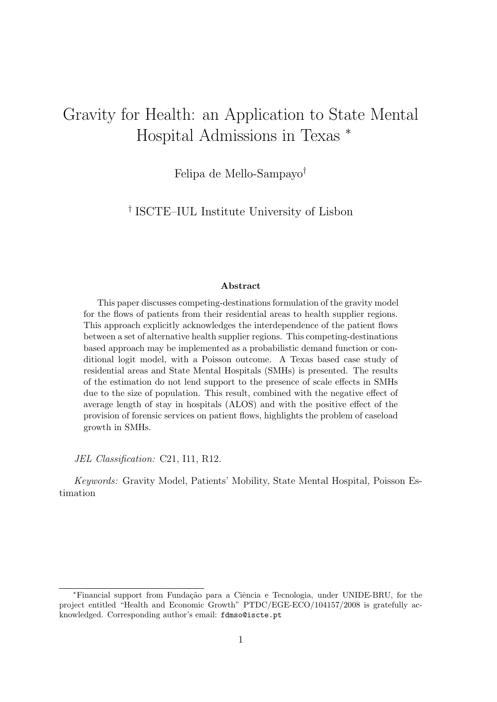# Gravity for Health: an Application to State Mental Hospital Admissions in Texas <sup>∗</sup>

Felipa de Mello-Sampayo†

† ISCTE–IUL Institute University of Lisbon

#### Abstract

This paper discusses competing-destinations formulation of the gravity model for the flows of patients from their residential areas to health supplier regions. This approach explicitly acknowledges the interdependence of the patient flows between a set of alternative health supplier regions. This competing-destinations based approach may be implemented as a probabilistic demand function or conditional logit model, with a Poisson outcome. A Texas based case study of residential areas and State Mental Hospitals (SMHs) is presented. The results of the estimation do not lend support to the presence of scale effects in SMHs due to the size of population. This result, combined with the negative effect of average length of stay in hospitals (ALOS) and with the positive effect of the provision of forensic services on patient flows, highlights the problem of caseload growth in SMHs.

*JEL Classification:* C21, I11, R12.

*Keywords:* Gravity Model, Patients' Mobility, State Mental Hospital, Poisson Estimation

<sup>∗</sup>Financial support from Funda¸c˜ao para a Ciˆencia e Tecnologia, under UNIDE-BRU, for the project entitled "Health and Economic Growth" PTDC/EGE-ECO/104157/2008 is gratefully acknowledged. Corresponding author's email: fdmso@iscte.pt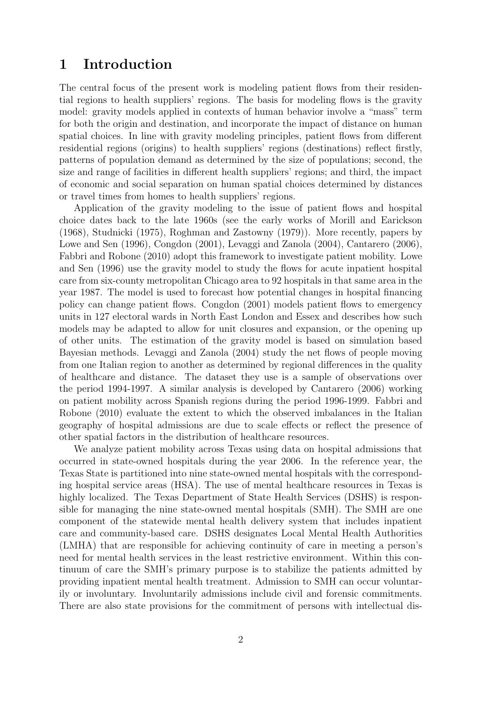## 1 Introduction

The central focus of the present work is modeling patient flows from their residential regions to health suppliers' regions. The basis for modeling flows is the gravity model: gravity models applied in contexts of human behavior involve a "mass" term for both the origin and destination, and incorporate the impact of distance on human spatial choices. In line with gravity modeling principles, patient flows from different residential regions (origins) to health suppliers' regions (destinations) reflect firstly, patterns of population demand as determined by the size of populations; second, the size and range of facilities in different health suppliers' regions; and third, the impact of economic and social separation on human spatial choices determined by distances or travel times from homes to health suppliers' regions.

Application of the gravity modeling to the issue of patient flows and hospital choice dates back to the late 1960s (see the early works of Morill and Earickson (1968), Studnicki (1975), Roghman and Zastowny (1979)). More recently, papers by Lowe and Sen (1996), Congdon (2001), Levaggi and Zanola (2004), Cantarero (2006), Fabbri and Robone (2010) adopt this framework to investigate patient mobility. Lowe and Sen (1996) use the gravity model to study the flows for acute inpatient hospital care from six-county metropolitan Chicago area to 92 hospitals in that same area in the year 1987. The model is used to forecast how potential changes in hospital financing policy can change patient flows. Congdon (2001) models patient flows to emergency units in 127 electoral wards in North East London and Essex and describes how such models may be adapted to allow for unit closures and expansion, or the opening up of other units. The estimation of the gravity model is based on simulation based Bayesian methods. Levaggi and Zanola (2004) study the net flows of people moving from one Italian region to another as determined by regional differences in the quality of healthcare and distance. The dataset they use is a sample of observations over the period 1994-1997. A similar analysis is developed by Cantarero (2006) working on patient mobility across Spanish regions during the period 1996-1999. Fabbri and Robone (2010) evaluate the extent to which the observed imbalances in the Italian geography of hospital admissions are due to scale effects or reflect the presence of other spatial factors in the distribution of healthcare resources.

We analyze patient mobility across Texas using data on hospital admissions that occurred in state-owned hospitals during the year 2006. In the reference year, the Texas State is partitioned into nine state-owned mental hospitals with the corresponding hospital service areas (HSA). The use of mental healthcare resources in Texas is highly localized. The Texas Department of State Health Services (DSHS) is responsible for managing the nine state-owned mental hospitals (SMH). The SMH are one component of the statewide mental health delivery system that includes inpatient care and community-based care. DSHS designates Local Mental Health Authorities (LMHA) that are responsible for achieving continuity of care in meeting a person's need for mental health services in the least restrictive environment. Within this continuum of care the SMH's primary purpose is to stabilize the patients admitted by providing inpatient mental health treatment. Admission to SMH can occur voluntarily or involuntary. Involuntarily admissions include civil and forensic commitments. There are also state provisions for the commitment of persons with intellectual dis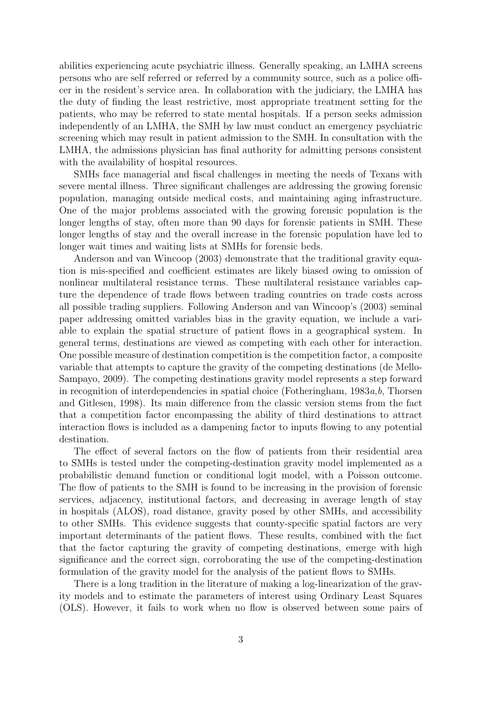abilities experiencing acute psychiatric illness. Generally speaking, an LMHA screens persons who are self referred or referred by a community source, such as a police officer in the resident's service area. In collaboration with the judiciary, the LMHA has the duty of finding the least restrictive, most appropriate treatment setting for the patients, who may be referred to state mental hospitals. If a person seeks admission independently of an LMHA, the SMH by law must conduct an emergency psychiatric screening which may result in patient admission to the SMH. In consultation with the LMHA, the admissions physician has final authority for admitting persons consistent with the availability of hospital resources.

SMHs face managerial and fiscal challenges in meeting the needs of Texans with severe mental illness. Three significant challenges are addressing the growing forensic population, managing outside medical costs, and maintaining aging infrastructure. One of the major problems associated with the growing forensic population is the longer lengths of stay, often more than 90 days for forensic patients in SMH. These longer lengths of stay and the overall increase in the forensic population have led to longer wait times and waiting lists at SMHs for forensic beds.

Anderson and van Wincoop (2003) demonstrate that the traditional gravity equation is mis-specified and coefficient estimates are likely biased owing to omission of nonlinear multilateral resistance terms. These multilateral resistance variables capture the dependence of trade flows between trading countries on trade costs across all possible trading suppliers. Following Anderson and van Wincoop's (2003) seminal paper addressing omitted variables bias in the gravity equation, we include a variable to explain the spatial structure of patient flows in a geographical system. In general terms, destinations are viewed as competing with each other for interaction. One possible measure of destination competition is the competition factor, a composite variable that attempts to capture the gravity of the competing destinations (de Mello-Sampayo, 2009). The competing destinations gravity model represents a step forward in recognition of interdependencies in spatial choice (Fotheringham, 1983*a*,*b*, Thorsen and Gitlesen, 1998). Its main difference from the classic version stems from the fact that a competition factor encompassing the ability of third destinations to attract interaction flows is included as a dampening factor to inputs flowing to any potential destination.

The effect of several factors on the flow of patients from their residential area to SMHs is tested under the competing-destination gravity model implemented as a probabilistic demand function or conditional logit model, with a Poisson outcome. The flow of patients to the SMH is found to be increasing in the provision of forensic services, adjacency, institutional factors, and decreasing in average length of stay in hospitals (ALOS), road distance, gravity posed by other SMHs, and accessibility to other SMHs. This evidence suggests that county-specific spatial factors are very important determinants of the patient flows. These results, combined with the fact that the factor capturing the gravity of competing destinations, emerge with high significance and the correct sign, corroborating the use of the competing-destination formulation of the gravity model for the analysis of the patient flows to SMHs.

There is a long tradition in the literature of making a log-linearization of the gravity models and to estimate the parameters of interest using Ordinary Least Squares (OLS). However, it fails to work when no flow is observed between some pairs of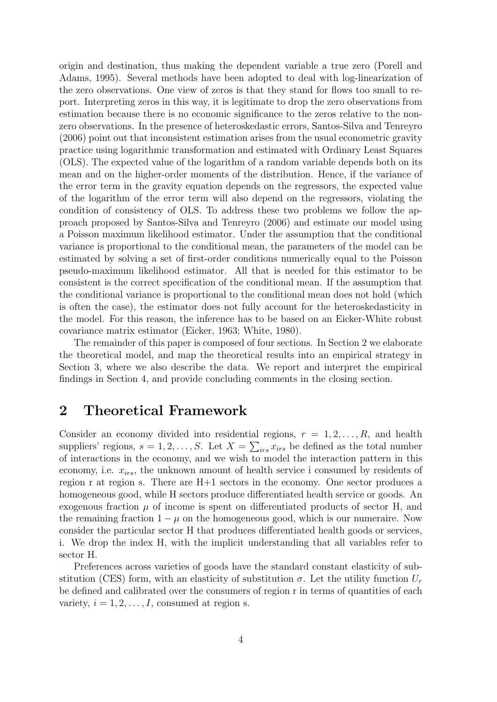origin and destination, thus making the dependent variable a true zero (Porell and Adams, 1995). Several methods have been adopted to deal with log-linearization of the zero observations. One view of zeros is that they stand for flows too small to report. Interpreting zeros in this way, it is legitimate to drop the zero observations from estimation because there is no economic significance to the zeros relative to the nonzero observations. In the presence of heteroskedastic errors, Santos-Silva and Tenreyro (2006) point out that inconsistent estimation arises from the usual econometric gravity practice using logarithmic transformation and estimated with Ordinary Least Squares (OLS). The expected value of the logarithm of a random variable depends both on its mean and on the higher-order moments of the distribution. Hence, if the variance of the error term in the gravity equation depends on the regressors, the expected value of the logarithm of the error term will also depend on the regressors, violating the condition of consistency of OLS. To address these two problems we follow the approach proposed by Santos-Silva and Tenreyro (2006) and estimate our model using a Poisson maximum likelihood estimator. Under the assumption that the conditional variance is proportional to the conditional mean, the parameters of the model can be estimated by solving a set of first-order conditions numerically equal to the Poisson pseudo-maximum likelihood estimator. All that is needed for this estimator to be consistent is the correct specification of the conditional mean. If the assumption that the conditional variance is proportional to the conditional mean does not hold (which is often the case), the estimator does not fully account for the heteroskedasticity in the model. For this reason, the inference has to be based on an Eicker-White robust covariance matrix estimator (Eicker, 1963; White, 1980).

The remainder of this paper is composed of four sections. In Section 2 we elaborate the theoretical model, and map the theoretical results into an empirical strategy in Section 3, where we also describe the data. We report and interpret the empirical findings in Section 4, and provide concluding comments in the closing section.

## 2 Theoretical Framework

Consider an economy divided into residential regions,  $r = 1, 2, \ldots, R$ , and health suppliers' regions,  $s = 1, 2, ..., S$ . Let  $X = \sum_{irs} x_{irs}$  be defined as the total number of interactions in the economy, and we wish to model the interaction pattern in this economy, i.e.  $x_{irs}$ , the unknown amount of health service i consumed by residents of region r at region s. There are  $H+1$  sectors in the economy. One sector produces a homogeneous good, while H sectors produce differentiated health service or goods. An exogenous fraction  $\mu$  of income is spent on differentiated products of sector H, and the remaining fraction  $1 - \mu$  on the homogeneous good, which is our numeraire. Now consider the particular sector H that produces differentiated health goods or services, i. We drop the index H, with the implicit understanding that all variables refer to sector H.

Preferences across varieties of goods have the standard constant elasticity of substitution (CES) form, with an elasticity of substitution  $\sigma$ . Let the utility function  $U_r$ be defined and calibrated over the consumers of region r in terms of quantities of each variety,  $i = 1, 2, \ldots, I$ , consumed at region s.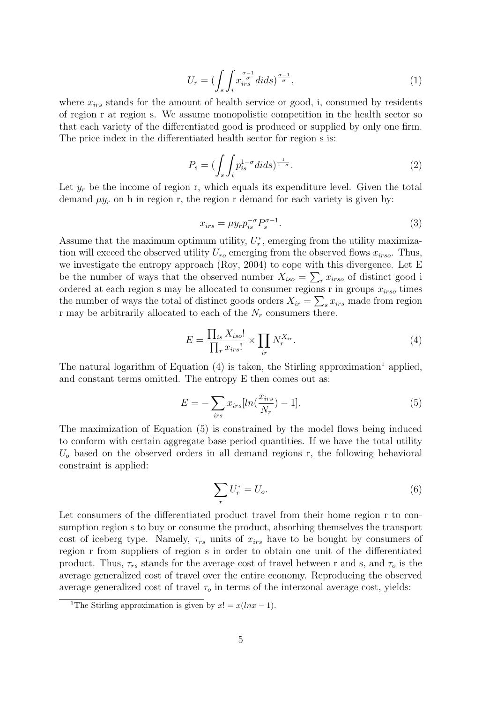$$
U_r = \left(\int_s \int_i x_{irs}^{\frac{\sigma - 1}{\sigma}} dids\right)^{\frac{\sigma - 1}{\sigma}},\tag{1}
$$

where  $x_{irs}$  stands for the amount of health service or good, i, consumed by residents of region r at region s. We assume monopolistic competition in the health sector so that each variety of the differentiated good is produced or supplied by only one firm. The price index in the differentiated health sector for region s is:

$$
P_s = \left(\int_s \int_i p_{is}^{1-\sigma} dids\right)^{\frac{1}{1-\sigma}}.\tag{2}
$$

Let  $y_r$  be the income of region r, which equals its expenditure level. Given the total demand  $\mu y_r$  on h in region r, the region r demand for each variety is given by:

$$
x_{irs} = \mu y_r p_{is}^{-\sigma} P_s^{\sigma - 1}.
$$
\n
$$
(3)
$$

Assume that the maximum optimum utility,  $U_r^*$ , emerging from the utility maximization will exceed the observed utility  $U_{ro}$  emerging from the observed flows  $x_{irso}$ . Thus, we investigate the entropy approach (Roy, 2004) to cope with this divergence. Let E be the number of ways that the observed number  $X_{iso} = \sum_{r} x_{irso}$  of distinct good i ordered at each region s may be allocated to consumer regions r in groups  $x_{irso}$  times the number of ways the total of distinct goods orders  $X_{ir} = \sum_{s} x_{irs}$  made from region r may be arbitrarily allocated to each of the  $N_r$  consumers there.

$$
E = \frac{\prod_{is} X_{iso}!}{\prod_{r} x_{irs}!} \times \prod_{ir} N_r^{X_{ir}}.
$$
\n
$$
(4)
$$

The natural logarithm of Equation  $(4)$  is taken, the Stirling approximation<sup>1</sup> applied, and constant terms omitted. The entropy E then comes out as:

$$
E = -\sum_{irs} x_{irs} [ln(\frac{x_{irs}}{N_r}) - 1]. \tag{5}
$$

The maximization of Equation (5) is constrained by the model flows being induced to conform with certain aggregate base period quantities. If we have the total utility  $U<sub>o</sub>$  based on the observed orders in all demand regions r, the following behavioral constraint is applied:

$$
\sum_{r} U_r^* = U_o. \tag{6}
$$

Let consumers of the differentiated product travel from their home region r to consumption region s to buy or consume the product, absorbing themselves the transport cost of iceberg type. Namely,  $\tau_{rs}$  units of  $x_{irs}$  have to be bought by consumers of region r from suppliers of region s in order to obtain one unit of the differentiated product. Thus,  $\tau_{rs}$  stands for the average cost of travel between r and s, and  $\tau_o$  is the average generalized cost of travel over the entire economy. Reproducing the observed average generalized cost of travel  $\tau_o$  in terms of the interzonal average cost, yields:

<sup>&</sup>lt;sup>1</sup>The Stirling approximation is given by  $x! = x(lnx - 1)$ .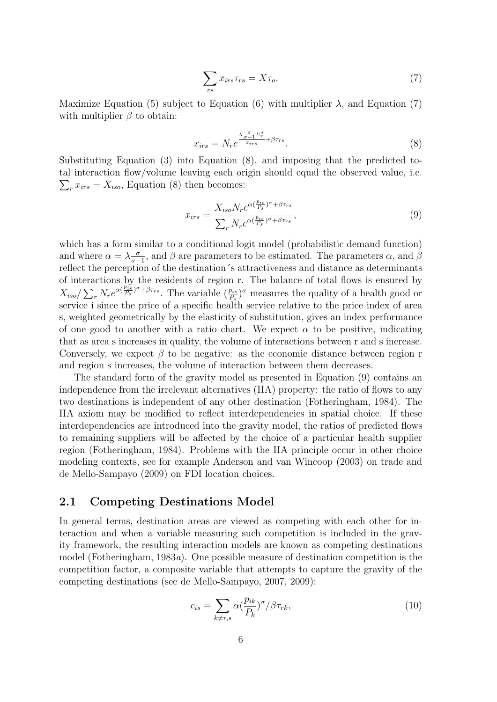$$
\sum_{rs} x_{irs}\tau_{rs} = X\tau_o. \tag{7}
$$

Maximize Equation (5) subject to Equation (6) with multiplier  $\lambda$ , and Equation (7) with multiplier  $\beta$  to obtain:

$$
x_{irs} = N_r e^{\frac{\lambda \frac{\sigma}{\sigma - 1} U_r^*}{x_{irs}} + \beta \tau_{rs}}.
$$
\n
$$
(8)
$$

Substituting Equation (3) into Equation (8), and imposing that the predicted total interaction flow/volume leaving each origin should equa l the observed value, i.e.  $\sum_{r} x_{irs} = X_{iso}$ , Equation (8) then becomes:

$$
x_{irs} = \frac{X_{iso} N_r e^{\alpha(\frac{p_{is}}{P_s})^{\sigma} + \beta \tau_{rs}}}{\sum_r N_r e^{\alpha(\frac{p_{is}}{P_s})^{\sigma} + \beta \tau_{rs}}},\tag{9}
$$

which has a form similar to a conditional logit model (probabilistic demand function) and where  $\alpha = \lambda \frac{\sigma}{\sigma - 1}$  $\frac{\sigma}{\sigma-1}$ , and  $\beta$  are parameters to be estimated. The parameters  $\alpha$ , and  $\beta$ reflect the perception of the destination´s attractiveness and distance as determinants of interactions by the residents of region r. The balance of total flows is ensured by  $X_{iso}/\sum_r N_r e^{\alpha(\frac{p_{is}}{P_s})^{\sigma}+\beta\tau_{rs}}$ . The variable  $(\frac{p_{is}}{P_s})^{\sigma}$  measures the quality of a health good or service i since the price of a specific health service relative to the price index of area s, weighted geometrically by the elasticity of substitution, gives an index performance of one good to another with a ratio chart. We expect  $\alpha$  to be positive, indicating that as area s increases in quality, the volume of interactions between r and s increase. Conversely, we expect  $\beta$  to be negative: as the economic distance between region r and region s increases, the volume of interaction between them decreases.

The standard form of the gravity model as presented in Equation (9) contains an independence from the irrelevant alternatives (IIA) property: the ratio of flows to any two destinations is independent of any other destination (Fotheringham, 1984). The IIA axiom may be modified to reflect interdependencies in spatial choice. If these interdependencies are introduced into the gravity model, the ratios of predicted flows to remaining suppliers will be affected by the choice of a particular health supplier region (Fotheringham, 1984). Problems with the IIA principle occur in other choice modeling contexts, see for example Anderson and van Wincoop (2003) on trade and de Mello-Sampayo (2009) on FDI location choices.

### 2.1 Competing Destinations Model

In general terms, destination areas are viewed as competing with each other for interaction and when a variable measuring such competition is included in the gravity framework, the resulting interaction models are known as competing destinations model (Fotheringham, 1983*a*). One possible measure of destination competition is the competition factor, a composite variable that attempts to capture the gravity of the competing destinations (see de Mello-Sampayo, 2007, 2009):

$$
c_{is} = \sum_{k \neq r,s} \alpha \left(\frac{p_{ik}}{P_k}\right)^{\sigma} / \beta \tau_{rk},\tag{10}
$$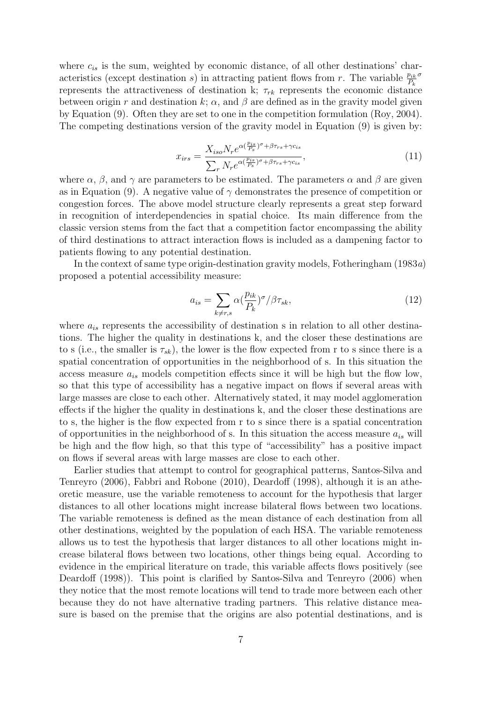where  $c_{is}$  is the sum, weighted by economic distance, of all other destinations' characteristics (except destination s) in attracting patient flows from r. The variable  $\frac{p_{ik}}{P_k}$ σ represents the attractiveness of destination k;  $\tau_{rk}$  represents the economic distance between origin r and destination k;  $\alpha$ , and  $\beta$  are defined as in the gravity model given by Equation (9). Often they are set to one in the competition formulation (Roy, 2004). The competing destinations version of the gravity model in Equation (9) is given by:

$$
x_{irs} = \frac{X_{iso} N_r e^{\alpha(\frac{p_{is}}{P_s})^{\sigma} + \beta \tau_{rs} + \gamma c_{is}}}{\sum_r N_r e^{\alpha(\frac{p_{is}}{P_s})^{\sigma} + \beta \tau_{rs} + \gamma c_{is}}},\tag{11}
$$

where  $\alpha$ ,  $\beta$ , and  $\gamma$  are parameters to be estimated. The parameters  $\alpha$  and  $\beta$  are given as in Equation (9). A negative value of  $\gamma$  demonstrates the presence of competition or congestion forces. The above model structure clearly represents a great step forward in recognition of interdependencies in spatial choice. Its main difference from the classic version stems from the fact that a competition factor encompassing the ability of third destinations to attract interaction flows is included as a dampening factor to patients flowing to any potential destination.

In the context of same type origin-destination gravity models, Fotheringham (1983*a*) proposed a potential accessibility measure:

$$
a_{is} = \sum_{k \neq r,s} \alpha \left(\frac{p_{ik}}{P_k}\right)^{\sigma} / \beta \tau_{sk},\tag{12}
$$

where  $a_{is}$  represents the accessibility of destination s in relation to all other destinations. The higher the quality in destinations k, and the closer these destinations are to s (i.e., the smaller is  $\tau_{sk}$ ), the lower is the flow expected from r to s since there is a spatial concentration of opportunities in the neighborhood of s. In this situation the access measure  $a_{is}$  models competition effects since it will be high but the flow low, so that this type of accessibility has a negative impact on flows if several areas with large masses are close to each other. Alternatively stated, it may model agglomeration effects if the higher the quality in destinations k, and the closer these destinations are to s, the higher is the flow expected from r to s since there is a spatial concentration of opportunities in the neighborhood of s. In this situation the access measure  $a_{is}$  will be high and the flow high, so that this type of "accessibility" has a positive impact on flows if several areas with large masses are close to each other.

Earlier studies that attempt to control for geographical patterns, Santos-Silva and Tenreyro (2006), Fabbri and Robone (2010), Deardoff (1998), although it is an atheoretic measure, use the variable remoteness to account for the hypothesis that larger distances to all other locations might increase bilateral flows between two locations. The variable remoteness is defined as the mean distance of each destination from all other destinations, weighted by the population of each HSA. The variable remoteness allows us to test the hypothesis that larger distances to all other locations might increase bilateral flows between two locations, other things being equal. According to evidence in the empirical literature on trade, this variable affects flows positively (see Deardoff (1998)). This point is clarified by Santos-Silva and Tenreyro (2006) when they notice that the most remote locations will tend to trade more between each other because they do not have alternative trading partners. This relative distance measure is based on the premise that the origins are also potential destinations, and is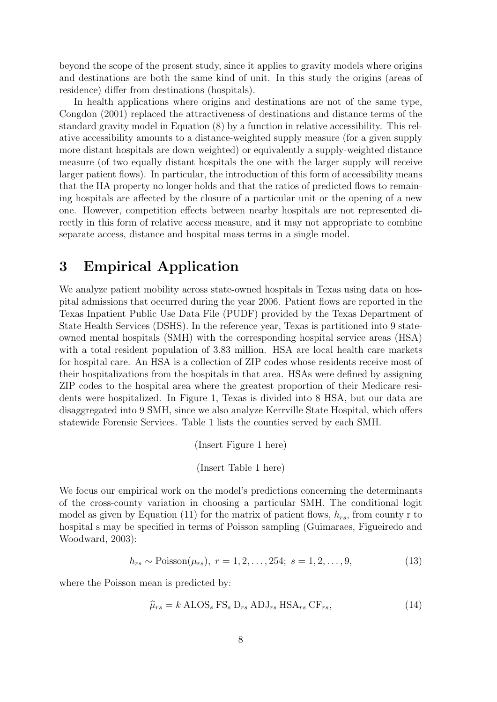beyond the scope of the present study, since it applies to gravity models where origins and destinations are both the same kind of unit. In this study the origins (areas of residence) differ from destinations (hospitals).

In health applications where origins and destinations are not of the same type, Congdon (2001) replaced the attractiveness of destinations and distance terms of the standard gravity model in Equation (8) by a function in relative accessibility. This relative accessibility amounts to a distance-weighted supply measure (for a given supply more distant hospitals are down weighted) or equivalently a supply-weighted distance measure (of two equally distant hospitals the one with the larger supply will receive larger patient flows). In particular, the introduction of this form of accessibility means that the IIA property no longer holds and that the ratios of predicted flows to remaining hospitals are affected by the closure of a particular unit or the opening of a new one. However, competition effects between nearby hospitals are not represented directly in this form of relative access measure, and it may not appropriate to combine separate access, distance and hospital mass terms in a single model.

## 3 Empirical Application

We analyze patient mobility across state-owned hospitals in Texas using data on hospital admissions that occurred during the year 2006. Patient flows are reported in the Texas Inpatient Public Use Data File (PUDF) provided by the Texas Department of State Health Services (DSHS). In the reference year, Texas is partitioned into 9 stateowned mental hospitals (SMH) with the corresponding hospital service areas (HSA) with a total resident population of 3.83 million. HSA are local health care markets for hospital care. An HSA is a collection of ZIP codes whose residents receive most of their hospitalizations from the hospitals in that area. HSAs were defined by assigning ZIP codes to the hospital area where the greatest proportion of their Medicare residents were hospitalized. In Figure 1, Texas is divided into 8 HSA, but our data are disaggregated into 9 SMH, since we also analyze Kerrville State Hospital, which offers statewide Forensic Services. Table 1 lists the counties served by each SMH.

(Insert Figure 1 here)

(Insert Table 1 here)

We focus our empirical work on the model's predictions concerning the determinants of the cross-county variation in choosing a particular SMH. The conditional logit model as given by Equation (11) for the matrix of patient flows,  $h_{rs}$ , from county r to hospital s may be specified in terms of Poisson sampling (Guimaraes, Figueiredo and Woodward, 2003):

$$
h_{rs} \sim \text{Poisson}(\mu_{rs}), \ r = 1, 2, \dots, 254; \ s = 1, 2, \dots, 9,
$$
\n<sup>(13)</sup>

where the Poisson mean is predicted by:

$$
\widehat{\mu}_{rs} = k \text{ ALOS}_s \text{ FS}_s \text{ D}_{rs} \text{ ADJ}_{rs} \text{ HSA}_{rs} \text{ CF}_{rs},\tag{14}
$$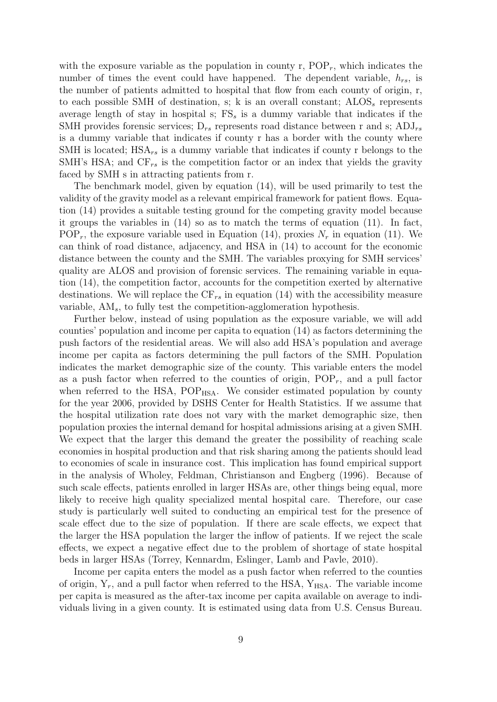with the exposure variable as the population in county r,  $POP<sub>r</sub>$ , which indicates the number of times the event could have happened. The dependent variable,  $h_{rs}$ , is the number of patients admitted to hospital that flow from each county of origin, r, to each possible SMH of destination, s; k is an overall constant;  $\text{ALOS}_s$  represents average length of stay in hospital s;  $FS_s$  is a dummy variable that indicates if the SMH provides forensic services;  $D_{rs}$  represents road distance between r and s;  $ADJ_{rs}$ is a dummy variable that indicates if county r has a border with the county where SMH is located;  $HSA_{rs}$  is a dummy variable that indicates if county r belongs to the SMH's HSA; and  $CF_{rs}$  is the competition factor or an index that yields the gravity faced by SMH s in attracting patients from r.

The benchmark model, given by equation (14), will be used primarily to test the validity of the gravity model as a relevant empirical framework for patient flows. Equation (14) provides a suitable testing ground for the competing gravity model because it groups the variables in (14) so as to match the terms of equation (11). In fact, POP<sub>r</sub>, the exposure variable used in Equation (14), proxies  $N_r$  in equation (11). We can think of road distance, adjacency, and HSA in (14) to account for the economic distance between the county and the SMH. The variables proxying for SMH services' quality are ALOS and provision of forensic services. The remaining variable in equation (14), the competition factor, accounts for the competition exerted by alternative destinations. We will replace the  $CF_{rs}$  in equation (14) with the accessibility measure variable,  $AM_s$ , to fully test the competition-agglomeration hypothesis.

Further below, instead of using population as the exposure variable, we will add counties' population and income per capita to equation (14) as factors determining the push factors of the residential areas. We will also add HSA's population and average income per capita as factors determining the pull factors of the SMH. Population indicates the market demographic size of the county. This variable enters the model as a push factor when referred to the counties of origin,  $POP_r$ , and a pull factor when referred to the HSA, POP<sub>HSA</sub>. We consider estimated population by county for the year 2006, provided by DSHS Center for Health Statistics. If we assume that the hospital utilization rate does not vary with the market demographic size, then population proxies the internal demand for hospital admissions arising at a given SMH. We expect that the larger this demand the greater the possibility of reaching scale economies in hospital production and that risk sharing among the patients should lead to economies of scale in insurance cost. This implication has found empirical support in the analysis of Wholey, Feldman, Christianson and Engberg (1996). Because of such scale effects, patients enrolled in larger HSAs are, other things being equal, more likely to receive high quality specialized mental hospital care. Therefore, our case study is particularly well suited to conducting an empirical test for the presence of scale effect due to the size of population. If there are scale effects, we expect that the larger the HSA population the larger the inflow of patients. If we reject the scale effects, we expect a negative effect due to the problem of shortage of state hospital beds in larger HSAs (Torrey, Kennardm, Eslinger, Lamb and Pavle, 2010).

Income per capita enters the model as a push factor when referred to the counties of origin,  $Y_r$ , and a pull factor when referred to the HSA,  $Y_{HSA}$ . The variable income per capita is measured as the after-tax income per capita available on average to individuals living in a given county. It is estimated using data from U.S. Census Bureau.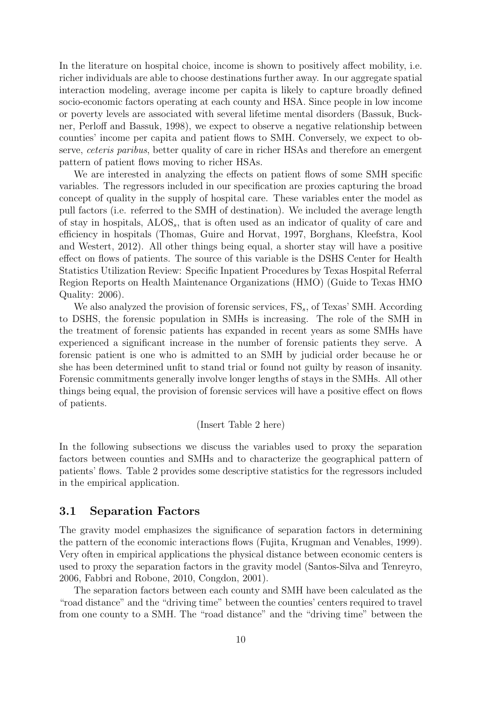In the literature on hospital choice, income is shown to positively affect mobility, i.e. richer individuals are able to choose destinations further away. In our aggregate spatial interaction modeling, average income per capita is likely to capture broadly defined socio-economic factors operating at each county and HSA. Since people in low income or poverty levels are associated with several lifetime mental disorders (Bassuk, Buckner, Perloff and Bassuk, 1998), we expect to observe a negative relationship between counties' income per capita and patient flows to SMH. Conversely, we expect to observe, *ceteris paribus*, better quality of care in richer HSAs and therefore an emergent pattern of patient flows moving to richer HSAs.

We are interested in analyzing the effects on patient flows of some SMH specific variables. The regressors included in our specification are proxies capturing the broad concept of quality in the supply of hospital care. These variables enter the model as pull factors (i.e. referred to the SMH of destination). We included the average length of stay in hospitals,  $ALOS<sub>s</sub>$ , that is often used as an indicator of quality of care and efficiency in hospitals (Thomas, Guire and Horvat, 1997, Borghans, Kleefstra, Kool and Westert, 2012). All other things being equal, a shorter stay will have a positive effect on flows of patients. The source of this variable is the DSHS Center for Health Statistics Utilization Review: Specific Inpatient Procedures by Texas Hospital Referral Region Reports on Health Maintenance Organizations (HMO) (Guide to Texas HMO Quality: 2006).

We also analyzed the provision of forensic services,  $\text{FS}_s$ , of Texas' SMH. According to DSHS, the forensic population in SMHs is increasing. The role of the SMH in the treatment of forensic patients has expanded in recent years as some SMHs have experienced a significant increase in the number of forensic patients they serve. A forensic patient is one who is admitted to an SMH by judicial order because he or she has been determined unfit to stand trial or found not guilty by reason of insanity. Forensic commitments generally involve longer lengths of stays in the SMHs. All other things being equal, the provision of forensic services will have a positive effect on flows of patients.

#### (Insert Table 2 here)

In the following subsections we discuss the variables used to proxy the separation factors between counties and SMHs and to characterize the geographical pattern of patients' flows. Table 2 provides some descriptive statistics for the regressors included in the empirical application.

#### 3.1 Separation Factors

The gravity model emphasizes the significance of separation factors in determining the pattern of the economic interactions flows (Fujita, Krugman and Venables, 1999). Very often in empirical applications the physical distance between economic centers is used to proxy the separation factors in the gravity model (Santos-Silva and Tenreyro, 2006, Fabbri and Robone, 2010, Congdon, 2001).

The separation factors between each county and SMH have been calculated as the "road distance" and the "driving time" between the counties' centers required to travel from one county to a SMH. The "road distance" and the "driving time" between the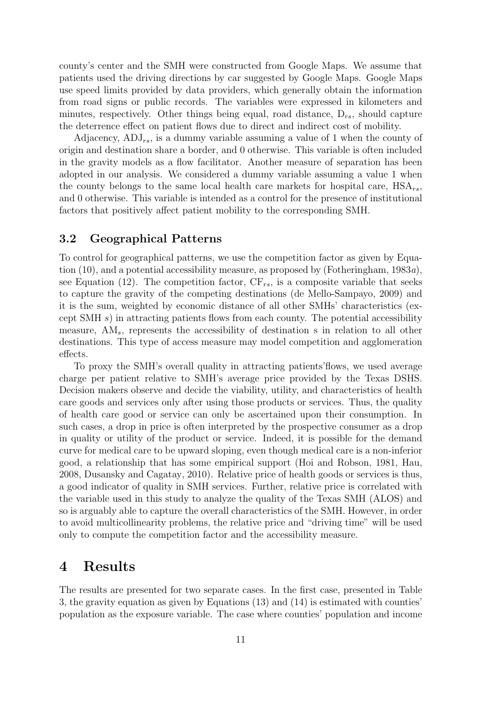county's center and the SMH were constructed from Google Maps. We assume that patients used the driving directions by car suggested by Google Maps. Google Maps use speed limits provided by data providers, which generally obtain the information from road signs or public records. The variables were expressed in kilometers and minutes, respectively. Other things being equal, road distance,  $D_{rs}$ , should capture the deterrence effect on patient flows due to direct and indirect cost of mobility.

Adjacency,  $ADJ_{rs}$ , is a dummy variable assuming a value of 1 when the county of origin and destination share a border, and 0 otherwise. This variable is often included in the gravity models as a flow facilitator. Another measure of separation has been adopted in our analysis. We considered a dummy variable assuming a value 1 when the county belongs to the same local health care markets for hospital care,  $HSA_{rs}$ , and 0 otherwise. This variable is intended as a control for the presence of institutional factors that positively affect patient mobility to the corresponding SMH.

#### 3.2 Geographical Patterns

To control for geographical patterns, we use the competition factor as given by Equation (10), and a potential accessibility measure, as proposed by (Fotheringham, 1983*a*), see Equation (12). The competition factor,  $CF_{rs}$ , is a composite variable that seeks to capture the gravity of the competing destinations (de Mello-Sampayo, 2009) and it is the sum, weighted by economic distance of all other SMHs' characteristics (except SMH  $s$ ) in attracting patients flows from each county. The potential accessibility measure, AM<sub>s</sub>, represents the accessibility of destination s in relation to all other destinations. This type of access measure may model competition and agglomeration effects.

To proxy the SMH's overall quality in attracting patients'flows, we used average charge per patient relative to SMH's average price provided by the Texas DSHS. Decision makers observe and decide the viability, utility, and characteristics of health care goods and services only after using those products or services. Thus, the quality of health care good or service can only be ascertained upon their consumption. In such cases, a drop in price is often interpreted by the prospective consumer as a drop in quality or utility of the product or service. Indeed, it is possible for the demand curve for medical care to be upward sloping, even though medical care is a non-inferior good, a relationship that has some empirical support (Hoi and Robson, 1981, Hau, 2008, Dusansky and Cagatay, 2010). Relative price of health goods or services is thus, a good indicator of quality in SMH services. Further, relative price is correlated with the variable used in this study to analyze the quality of the Texas SMH (ALOS) and so is arguably able to capture the overall characteristics of the SMH. However, in order to avoid multicollinearity problems, the relative price and "driving time" will be used only to compute the competition factor and the accessibility measure.

## 4 Results

The results are presented for two separate cases. In the first case, presented in Table 3, the gravity equation as given by Equations (13) and (14) is estimated with counties' population as the exposure variable. The case where counties' population and income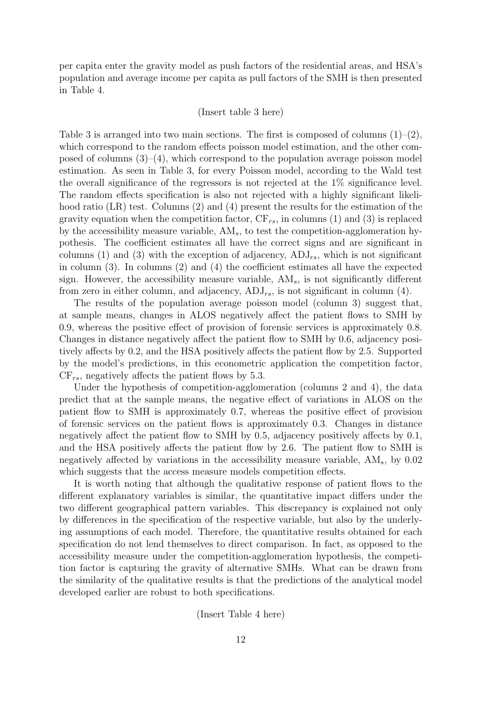per capita enter the gravity model as push factors of the residential areas, and HSA's population and average income per capita as pull factors of the SMH is then presented in Table 4.

#### (Insert table 3 here)

Table 3 is arranged into two main sections. The first is composed of columns  $(1)-(2)$ , which correspond to the random effects poisson model estimation, and the other composed of columns  $(3)$ – $(4)$ , which correspond to the population average poisson model estimation. As seen in Table 3, for every Poisson model, according to the Wald test the overall significance of the regressors is not rejected at the 1% significance level. The random effects specification is also not rejected with a highly significant likelihood ratio (LR) test. Columns (2) and (4) present the results for the estimation of the gravity equation when the competition factor,  $CF_{rs}$ , in columns (1) and (3) is replaced by the accessibility measure variable,  $AM<sub>s</sub>$ , to test the competition-agglomeration hypothesis. The coefficient estimates all have the correct signs and are significant in columns (1) and (3) with the exception of adjacency,  $ADJ_{rs}$ , which is not significant in column (3). In columns (2) and (4) the coefficient estimates all have the expected sign. However, the accessibility measure variable,  $AM_s$ , is not significantly different from zero in either column, and adjacency,  $ADJ_{rs}$ , is not significant in column (4).

The results of the population average poisson model (column 3) suggest that, at sample means, changes in ALOS negatively affect the patient flows to SMH by 0.9, whereas the positive effect of provision of forensic services is approximately 0.8. Changes in distance negatively affect the patient flow to SMH by 0.6, adjacency positively affects by 0.2, and the HSA positively affects the patient flow by 2.5. Supported by the model's predictions, in this econometric application the competition factor,  $CF_{rs}$ , negatively affects the patient flows by 5.3.

Under the hypothesis of competition-agglomeration (columns 2 and 4), the data predict that at the sample means, the negative effect of variations in ALOS on the patient flow to SMH is approximately 0.7, whereas the positive effect of provision of forensic services on the patient flows is approximately 0.3. Changes in distance negatively affect the patient flow to SMH by 0.5, adjacency positively affects by 0.1, and the HSA positively affects the patient flow by 2.6. The patient flow to SMH is negatively affected by variations in the accessibility measure variable,  $AM_s$ , by 0.02 which suggests that the access measure models competition effects.

It is worth noting that although the qualitative response of patient flows to the different explanatory variables is similar, the quantitative impact differs under the two different geographical pattern variables. This discrepancy is explained not only by differences in the specification of the respective variable, but also by the underlying assumptions of each model. Therefore, the quantitative results obtained for each specification do not lend themselves to direct comparison. In fact, as opposed to the accessibility measure under the competition-agglomeration hypothesis, the competition factor is capturing the gravity of alternative SMHs. What can be drawn from the similarity of the qualitative results is that the predictions of the analytical model developed earlier are robust to both specifications.

(Insert Table 4 here)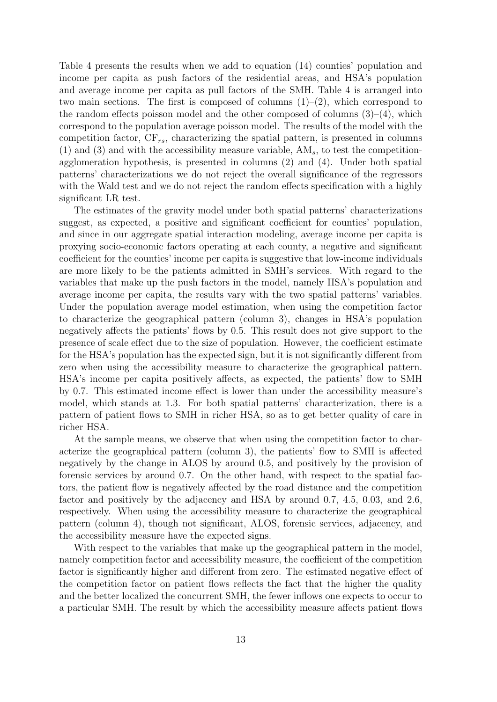Table 4 presents the results when we add to equation (14) counties' population and income per capita as push factors of the residential areas, and HSA's population and average income per capita as pull factors of the SMH. Table 4 is arranged into two main sections. The first is composed of columns  $(1)-(2)$ , which correspond to the random effects poisson model and the other composed of columns  $(3)-(4)$ , which correspond to the population average poisson model. The results of the model with the competition factor,  $CF_{rs}$ , characterizing the spatial pattern, is presented in columns (1) and (3) and with the accessibility measure variable,  $AM_s$ , to test the competitionagglomeration hypothesis, is presented in columns (2) and (4). Under both spatial patterns' characterizations we do not reject the overall significance of the regressors with the Wald test and we do not reject the random effects specification with a highly significant LR test.

The estimates of the gravity model under both spatial patterns' characterizations suggest, as expected, a positive and significant coefficient for counties' population, and since in our aggregate spatial interaction modeling, average income per capita is proxying socio-economic factors operating at each county, a negative and significant coefficient for the counties' income per capita is suggestive that low-income individuals are more likely to be the patients admitted in SMH's services. With regard to the variables that make up the push factors in the model, namely HSA's population and average income per capita, the results vary with the two spatial patterns' variables. Under the population average model estimation, when using the competition factor to characterize the geographical pattern (column 3), changes in HSA's population negatively affects the patients' flows by 0.5. This result does not give support to the presence of scale effect due to the size of population. However, the coefficient estimate for the HSA's population has the expected sign, but it is not significantly different from zero when using the accessibility measure to characterize the geographical pattern. HSA's income per capita positively affects, as expected, the patients' flow to SMH by 0.7. This estimated income effect is lower than under the accessibility measure's model, which stands at 1.3. For both spatial patterns' characterization, there is a pattern of patient flows to SMH in richer HSA, so as to get better quality of care in richer HSA.

At the sample means, we observe that when using the competition factor to characterize the geographical pattern (column 3), the patients' flow to SMH is affected negatively by the change in ALOS by around 0.5, and positively by the provision of forensic services by around 0.7. On the other hand, with respect to the spatial factors, the patient flow is negatively affected by the road distance and the competition factor and positively by the adjacency and HSA by around 0.7, 4.5, 0.03, and 2.6, respectively. When using the accessibility measure to characterize the geographical pattern (column 4), though not significant, ALOS, forensic services, adjacency, and the accessibility measure have the expected signs.

With respect to the variables that make up the geographical pattern in the model, namely competition factor and accessibility measure, the coefficient of the competition factor is significantly higher and different from zero. The estimated negative effect of the competition factor on patient flows reflects the fact that the higher the quality and the better localized the concurrent SMH, the fewer inflows one expects to occur to a particular SMH. The result by which the accessibility measure affects patient flows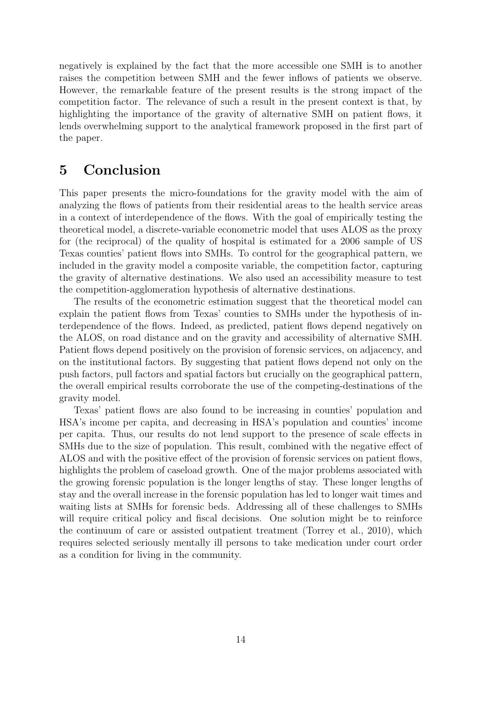negatively is explained by the fact that the more accessible one SMH is to another raises the competition between SMH and the fewer inflows of patients we observe. However, the remarkable feature of the present results is the strong impact of the competition factor. The relevance of such a result in the present context is that, by highlighting the importance of the gravity of alternative SMH on patient flows, it lends overwhelming support to the analytical framework proposed in the first part of the paper.

## 5 Conclusion

This paper presents the micro-foundations for the gravity model with the aim of analyzing the flows of patients from their residential areas to the health service areas in a context of interdependence of the flows. With the goal of empirically testing the theoretical model, a discrete-variable econometric model that uses ALOS as the proxy for (the reciprocal) of the quality of hospital is estimated for a 2006 sample of US Texas counties' patient flows into SMHs. To control for the geographical pattern, we included in the gravity model a composite variable, the competition factor, capturing the gravity of alternative destinations. We also used an accessibility measure to test the competition-agglomeration hypothesis of alternative destinations.

The results of the econometric estimation suggest that the theoretical model can explain the patient flows from Texas' counties to SMHs under the hypothesis of interdependence of the flows. Indeed, as predicted, patient flows depend negatively on the ALOS, on road distance and on the gravity and accessibility of alternative SMH. Patient flows depend positively on the provision of forensic services, on adjacency, and on the institutional factors. By suggesting that patient flows depend not only on the push factors, pull factors and spatial factors but crucially on the geographical pattern, the overall empirical results corroborate the use of the competing-destinations of the gravity model.

Texas' patient flows are also found to be increasing in counties' population and HSA's income per capita, and decreasing in HSA's population and counties' income per capita. Thus, our results do not lend support to the presence of scale effects in SMHs due to the size of population. This result, combined with the negative effect of ALOS and with the positive effect of the provision of forensic services on patient flows, highlights the problem of caseload growth. One of the major problems associated with the growing forensic population is the longer lengths of stay. These longer lengths of stay and the overall increase in the forensic population has led to longer wait times and waiting lists at SMHs for forensic beds. Addressing all of these challenges to SMHs will require critical policy and fiscal decisions. One solution might be to reinforce the continuum of care or assisted outpatient treatment (Torrey et al., 2010), which requires selected seriously mentally ill persons to take medication under court order as a condition for living in the community.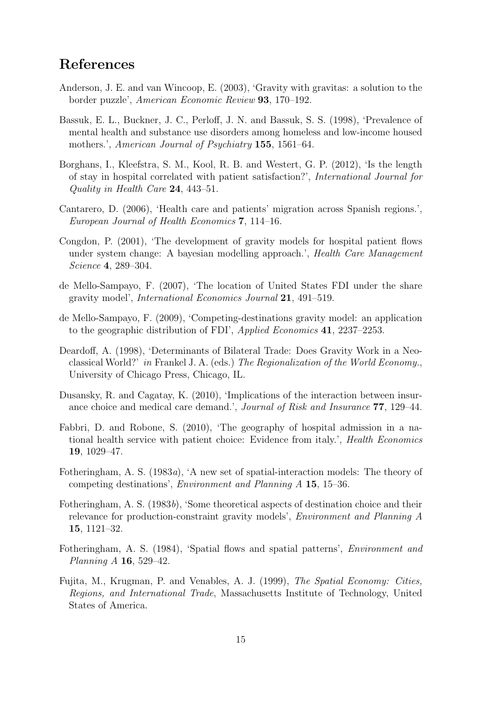## References

- Anderson, J. E. and van Wincoop, E. (2003), 'Gravity with gravitas: a solution to the border puzzle', *American Economic Review* 93, 170–192.
- Bassuk, E. L., Buckner, J. C., Perloff, J. N. and Bassuk, S. S. (1998), 'Prevalence of mental health and substance use disorders among homeless and low-income housed mothers.', *American Journal of Psychiatry* 155, 1561–64.
- Borghans, I., Kleefstra, S. M., Kool, R. B. and Westert, G. P. (2012), 'Is the length of stay in hospital correlated with patient satisfaction?', *International Journal for Quality in Health Care* 24, 443–51.
- Cantarero, D. (2006), 'Health care and patients' migration across Spanish regions.', *European Journal of Health Economics* 7, 114–16.
- Congdon, P. (2001), 'The development of gravity models for hospital patient flows under system change: A bayesian modelling approach.', *Health Care Management Science* 4, 289–304.
- de Mello-Sampayo, F. (2007), 'The location of United States FDI under the share gravity model', *International Economics Journal* 21, 491–519.
- de Mello-Sampayo, F. (2009), 'Competing-destinations gravity model: an application to the geographic distribution of FDI', *Applied Economics* 41, 2237–2253.
- Deardoff, A. (1998), 'Determinants of Bilateral Trade: Does Gravity Work in a Neoclassical World?' *in* Frankel J. A. (eds.) *The Regionalization of the World Economy.*, University of Chicago Press, Chicago, IL.
- Dusansky, R. and Cagatay, K. (2010), 'Implications of the interaction between insurance choice and medical care demand.', *Journal of Risk and Insurance* 77, 129–44.
- Fabbri, D. and Robone, S. (2010), 'The geography of hospital admission in a national health service with patient choice: Evidence from italy.', *Health Economics* 19, 1029–47.
- Fotheringham, A. S. (1983*a*), 'A new set of spatial-interaction models: The theory of competing destinations', *Environment and Planning A* 15, 15–36.
- Fotheringham, A. S. (1983*b*), 'Some theoretical aspects of destination choice and their relevance for production-constraint gravity models', *Environment and Planning A* 15, 1121–32.
- Fotheringham, A. S. (1984), 'Spatial flows and spatial patterns', *Environment and Planning A* 16, 529–42.
- Fujita, M., Krugman, P. and Venables, A. J. (1999), *The Spatial Economy: Cities, Regions, and International Trade*, Massachusetts Institute of Technology, United States of America.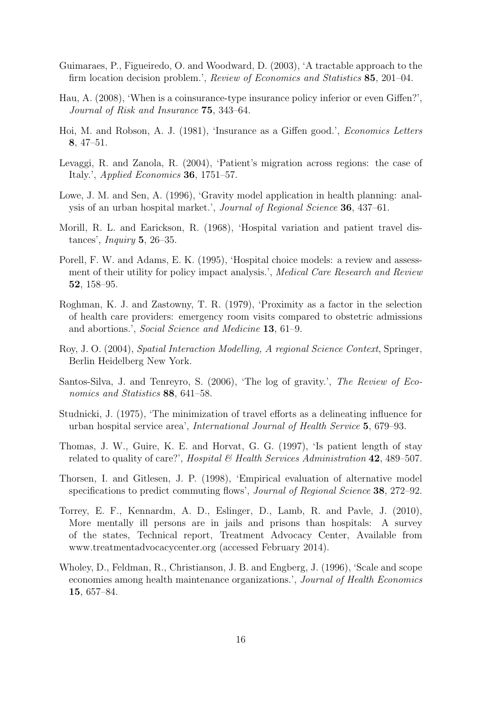- Guimaraes, P., Figueiredo, O. and Woodward, D. (2003), 'A tractable approach to the firm location decision problem.', *Review of Economics and Statistics* 85, 201–04.
- Hau, A. (2008), 'When is a coinsurance-type insurance policy inferior or even Giffen?', *Journal of Risk and Insurance* 75, 343–64.
- Hoi, M. and Robson, A. J. (1981), 'Insurance as a Giffen good.', *Economics Letters* 8, 47–51.
- Levaggi, R. and Zanola, R. (2004), 'Patient's migration across regions: the case of Italy.', *Applied Economics* 36, 1751–57.
- Lowe, J. M. and Sen, A. (1996), 'Gravity model application in health planning: analysis of an urban hospital market.', *Journal of Regional Science* 36, 437–61.
- Morill, R. L. and Earickson, R. (1968), 'Hospital variation and patient travel distances', *Inquiry* 5, 26–35.
- Porell, F. W. and Adams, E. K. (1995), 'Hospital choice models: a review and assessment of their utility for policy impact analysis.', *Medical Care Research and Review* 52, 158–95.
- Roghman, K. J. and Zastowny, T. R. (1979), 'Proximity as a factor in the selection of health care providers: emergency room visits compared to obstetric admissions and abortions.', *Social Science and Medicine* 13, 61–9.
- Roy, J. O. (2004), *Spatial Interaction Modelling, A regional Science Context*, Springer, Berlin Heidelberg New York.
- Santos-Silva, J. and Tenreyro, S. (2006), 'The log of gravity.', *The Review of Economics and Statistics* 88, 641–58.
- Studnicki, J. (1975), 'The minimization of travel efforts as a delineating influence for urban hospital service area', *International Journal of Health Service* 5, 679–93.
- Thomas, J. W., Guire, K. E. and Horvat, G. G. (1997), 'Is patient length of stay related to quality of care?', *Hospital & Health Services Administration* 42, 489–507.
- Thorsen, I. and Gitlesen, J. P. (1998), 'Empirical evaluation of alternative model specifications to predict commuting flows', *Journal of Regional Science* 38, 272–92.
- Torrey, E. F., Kennardm, A. D., Eslinger, D., Lamb, R. and Pavle, J. (2010), More mentally ill persons are in jails and prisons than hospitals: A survey of the states, Technical report, Treatment Advocacy Center, Available from www.treatmentadvocacycenter.org (accessed February 2014).
- Wholey, D., Feldman, R., Christianson, J. B. and Engberg, J. (1996), 'Scale and scope economies among health maintenance organizations.', *Journal of Health Economics* 15, 657–84.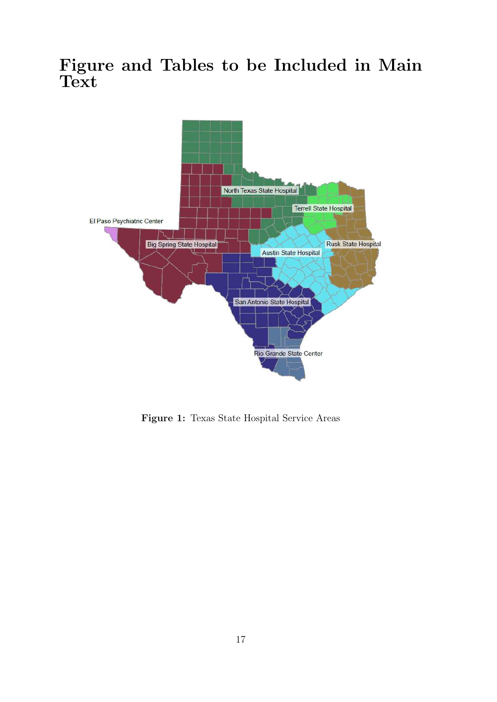## Figure and Tables to be Included in Main **Text**



Figure 1: Texas State Hospital Service Areas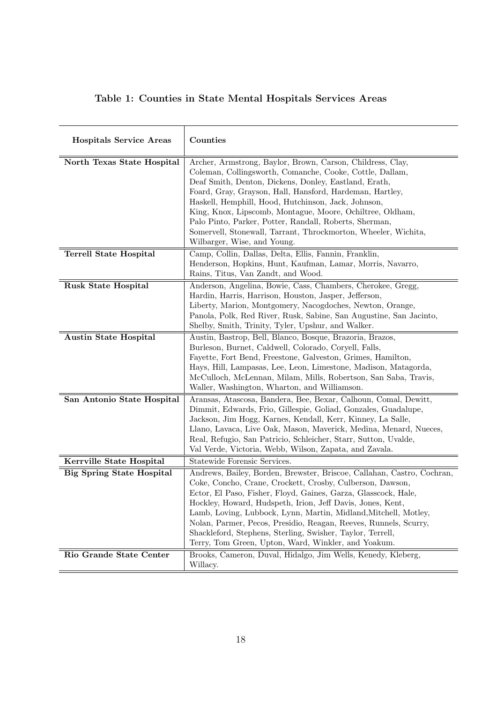|  |  |  |  |  | Table 1: Counties in State Mental Hospitals Services Areas |  |  |
|--|--|--|--|--|------------------------------------------------------------|--|--|
|--|--|--|--|--|------------------------------------------------------------|--|--|

| <b>Hospitals Service Areas</b>   | Counties                                                                                                                                                                                                                                                                                                                                                                                                                                                                                                                        |
|----------------------------------|---------------------------------------------------------------------------------------------------------------------------------------------------------------------------------------------------------------------------------------------------------------------------------------------------------------------------------------------------------------------------------------------------------------------------------------------------------------------------------------------------------------------------------|
| North Texas State Hospital       | Archer, Armstrong, Baylor, Brown, Carson, Childress, Clay,<br>Coleman, Collingsworth, Comanche, Cooke, Cottle, Dallam,<br>Deaf Smith, Denton, Dickens, Donley, Eastland, Erath,<br>Foard, Gray, Grayson, Hall, Hansford, Hardeman, Hartley,<br>Haskell, Hemphill, Hood, Hutchinson, Jack, Johnson,<br>King, Knox, Lipscomb, Montague, Moore, Ochiltree, Oldham,<br>Palo Pinto, Parker, Potter, Randall, Roberts, Sherman,<br>Somervell, Stonewall, Tarrant, Throckmorton, Wheeler, Wichita,<br>Wilbarger, Wise, and Young.      |
| <b>Terrell State Hospital</b>    | Camp, Collin, Dallas, Delta, Ellis, Fannin, Franklin,<br>Henderson, Hopkins, Hunt, Kaufman, Lamar, Morris, Navarro,<br>Rains, Titus, Van Zandt, and Wood.                                                                                                                                                                                                                                                                                                                                                                       |
| <b>Rusk State Hospital</b>       | Anderson, Angelina, Bowie, Cass, Chambers, Cherokee, Gregg,<br>Hardin, Harris, Harrison, Houston, Jasper, Jefferson,<br>Liberty, Marion, Montgomery, Nacogdoches, Newton, Orange,<br>Panola, Polk, Red River, Rusk, Sabine, San Augustine, San Jacinto,<br>Shelby, Smith, Trinity, Tyler, Upshur, and Walker.                                                                                                                                                                                                                   |
| <b>Austin State Hospital</b>     | Austin, Bastrop, Bell, Blanco, Bosque, Brazoria, Brazos,<br>Burleson, Burnet, Caldwell, Colorado, Coryell, Falls,<br>Fayette, Fort Bend, Freestone, Galveston, Grimes, Hamilton,<br>Hays, Hill, Lampasas, Lee, Leon, Limestone, Madison, Matagorda,<br>McCulloch, McLennan, Milam, Mills, Robertson, San Saba, Travis,<br>Waller, Washington, Wharton, and Williamson.                                                                                                                                                          |
| San Antonio State Hospital       | Aransas, Atascosa, Bandera, Bee, Bexar, Calhoun, Comal, Dewitt,<br>Dimmit, Edwards, Frio, Gillespie, Goliad, Gonzales, Guadalupe,<br>Jackson, Jim Hogg, Karnes, Kendall, Kerr, Kinney, La Salle,<br>Llano, Lavaca, Live Oak, Mason, Maverick, Medina, Menard, Nueces,<br>Real, Refugio, San Patricio, Schleicher, Starr, Sutton, Uvalde,<br>Val Verde, Victoria, Webb, Wilson, Zapata, and Zavala.                                                                                                                              |
| Kerrville State Hospital         | Statewide Forensic Services.                                                                                                                                                                                                                                                                                                                                                                                                                                                                                                    |
| <b>Big Spring State Hospital</b> | Andrews, Bailey, Borden, Brewster, Briscoe, Callahan, Castro, Cochran,<br>Coke, Concho, Crane, Crockett, Crosby, Culberson, Dawson,<br>Ector, El Paso, Fisher, Floyd, Gaines, Garza, Glasscock, Hale,<br>Hockley, Howard, Hudspeth, Irion, Jeff Davis, Jones, Kent,<br>Lamb, Loving, Lubbock, Lynn, Martin, Midland, Mitchell, Motley,<br>Nolan, Parmer, Pecos, Presidio, Reagan, Reeves, Runnels, Scurry,<br>Shackleford, Stephens, Sterling, Swisher, Taylor, Terrell,<br>Terry, Tom Green, Upton, Ward, Winkler, and Yoakum. |
| Rio Grande State Center          | Brooks, Cameron, Duval, Hidalgo, Jim Wells, Kenedy, Kleberg,<br>Willacy.                                                                                                                                                                                                                                                                                                                                                                                                                                                        |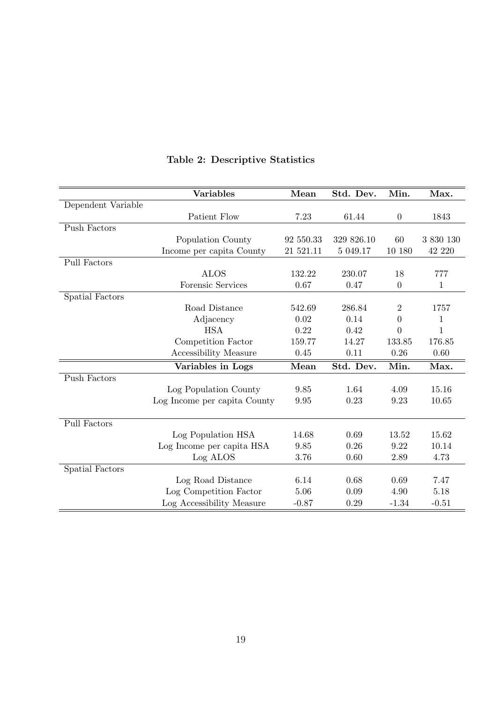|                     | <b>Variables</b>             | Mean      | Std. Dev.  | Min.           | Max.         |
|---------------------|------------------------------|-----------|------------|----------------|--------------|
| Dependent Variable  |                              |           |            |                |              |
|                     | Patient Flow                 | 7.23      | 61.44      | $\theta$       | 1843         |
| Push Factors        |                              |           |            |                |              |
|                     | Population County            | 92 550.33 | 329 826.10 | 60             | 3 830 130    |
|                     | Income per capita County     | 21 521.11 | 5 049.17   | 10 180         | 42 220       |
| Pull Factors        |                              |           |            |                |              |
|                     | <b>ALOS</b>                  | 132.22    | 230.07     | 18             | 777          |
|                     | Forensic Services            | 0.67      | 0.47       | $\overline{0}$ | $\mathbf{1}$ |
| Spatial Factors     |                              |           |            |                |              |
|                     | Road Distance                | 542.69    | 286.84     | $\overline{2}$ | 1757         |
|                     | Adjacency                    | 0.02      | 0.14       | $\overline{0}$ | 1            |
|                     | <b>HSA</b>                   | 0.22      | 0.42       | $\theta$       | 1            |
|                     | Competition Factor           | 159.77    | 14.27      | 133.85         | 176.85       |
|                     | Accessibility Measure        | 0.45      | 0.11       | 0.26           | 0.60         |
|                     | Variables in Logs            | Mean      | Std. Dev.  | Min.           | Max.         |
| Push Factors        |                              |           |            |                |              |
|                     | Log Population County        | 9.85      | 1.64       | 4.09           | 15.16        |
|                     | Log Income per capita County | 9.95      | 0.23       | 9.23           | 10.65        |
|                     |                              |           |            |                |              |
| <b>Pull Factors</b> |                              |           |            |                |              |
|                     | Log Population HSA           | 14.68     | 0.69       | 13.52          | 15.62        |
|                     | Log Income per capita HSA    | 9.85      | 0.26       | 9.22           | 10.14        |
|                     | Log ALOS                     | 3.76      | 0.60       | 2.89           | 4.73         |
| Spatial Factors     |                              |           |            |                |              |
|                     | Log Road Distance            | 6.14      | 0.68       | 0.69           | 7.47         |
|                     | Log Competition Factor       | 5.06      | 0.09       | 4.90           | 5.18         |
|                     | Log Accessibility Measure    | $-0.87$   | 0.29       | $-1.34$        | $-0.51$      |

## Table 2: Descriptive Statistics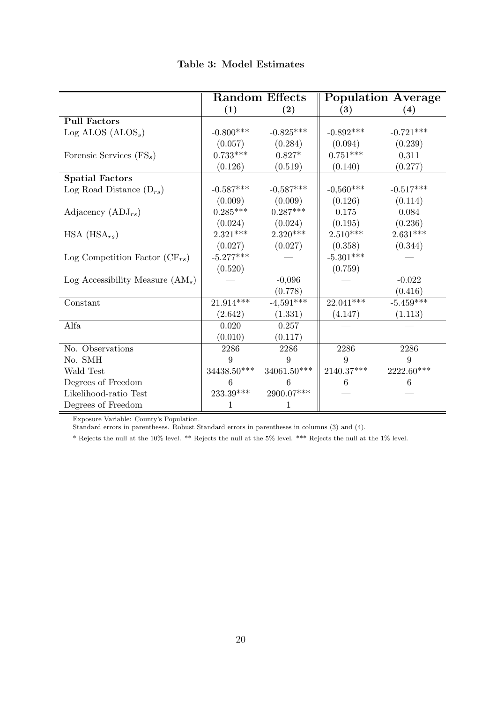| Table 3: Model Estimates |  |
|--------------------------|--|
|--------------------------|--|

|                                    | <b>Random Effects</b> |               | <b>Population Average</b> |                   |
|------------------------------------|-----------------------|---------------|---------------------------|-------------------|
|                                    | (1)                   | (2)           | $\left(3\right)$          | $\left( 4\right)$ |
| <b>Pull Factors</b>                |                       |               |                           |                   |
| $Log$ ALOS $(ALOSs)$               | $-0.800***$           | $-0.825***$   | $-0.892***$               | $-0.721***$       |
|                                    | (0.057)               | (0.284)       | (0.094)                   | (0.239)           |
| Forensic Services $(FS_s)$         | $0.733***$            | $0.827*$      | $0.751***$                | 0,311             |
|                                    | (0.126)               | (0.519)       | (0.140)                   | (0.277)           |
| <b>Spatial Factors</b>             |                       |               |                           |                   |
| Log Road Distance $(D_{rs})$       | $-0.587^{***}\,$      | $-0.587***$   | $-0.560***$               | $-0.517***$       |
|                                    | (0.009)               | (0.009)       | (0.126)                   | (0.114)           |
| Adjacency $(ADJ_{rs})$             | $0.285***$            | $0.287***$    | 0.175                     | 0.084             |
|                                    | (0.024)               | (0.024)       | (0.195)                   | (0.236)           |
| $HSA$ ( $HSA_{rs}$ )               | $2.321***$            | $2.320***$    | $2.510***$                | $2.631***$        |
|                                    | (0.027)               | (0.027)       | (0.358)                   | (0.344)           |
| Log Competition Factor $(CF_{rs})$ | $-5.277***$           |               | $-5.301***$               |                   |
|                                    | (0.520)               |               | (0.759)                   |                   |
| Log Accessibility Measure $(AM_s)$ |                       | $-0,096$      |                           | $-0.022$          |
|                                    |                       | (0.778)       |                           | (0.416)           |
| Constant                           | $21.914***$           | $-4,591***$   | $22.041***$               | $-5.459***$       |
|                                    | (2.642)               | (1.331)       | (4.147)                   | (1.113)           |
| Alfa                               | 0.020                 | 0.257         |                           |                   |
|                                    | (0.010)               | (0.117)       |                           |                   |
| No. Observations                   | 2286                  | 2286          | 2286                      | 2286              |
| No. SMH                            | 9                     | 9             | 9                         | 9                 |
| Wald Test                          | 34438.50***           | $34061.50***$ | $2140.37***$              | 2222.60***        |
| Degrees of Freedom                 | 6                     | 6             | 6                         | 6                 |
| Likelihood-ratio Test              | $233.39***$           | $2900.07***$  |                           |                   |
| Degrees of Freedom                 |                       | 1             |                           |                   |

Exposure Variable: County's Population.

Standard errors in parentheses. Robust Standard errors in parentheses in columns (3) and (4).

\* Rejects the null at the 10% level. \*\* Rejects the null at the 5% level. \*\*\* Rejects the null at the 1% level.